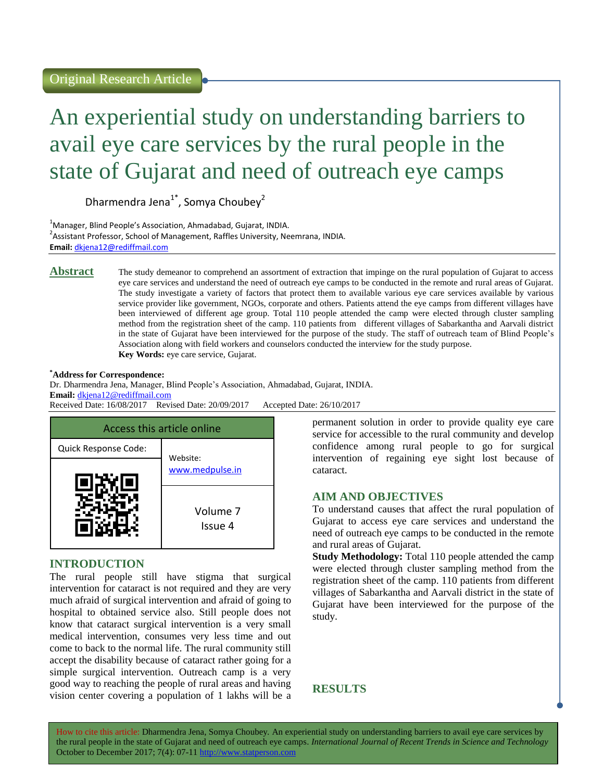# An experiential study on understanding barriers to avail eye care services by the rural people in the state of Gujarat and need of outreach eye camps

Dharmendra Jena<sup>1\*</sup>, Somya Choubey<sup>2</sup>

<sup>1</sup>Manager, Blind People's Association, Ahmadabad, Gujarat, INDIA. <sup>2</sup>Assistant Professor, School of Management, Raffles University, Neemrana, INDIA. **Email:** [dkjena12@rediffmail.com](mailto:dkjena12@rediffmail.com)

**Abstract** The study demeanor to comprehend an assortment of extraction that impinge on the rural population of Gujarat to access eye care services and understand the need of outreach eye camps to be conducted in the remote and rural areas of Gujarat. The study investigate a variety of factors that protect them to available various eye care services available by various service provider like government, NGOs, corporate and others. Patients attend the eye camps from different villages have been interviewed of different age group. Total 110 people attended the camp were elected through cluster sampling method from the registration sheet of the camp. 110 patients from different villages of Sabarkantha and Aarvali district in the state of Gujarat have been interviewed for the purpose of the study. The staff of outreach team of Blind People's Association along with field workers and counselors conducted the interview for the study purpose. **Key Words:** eye care service, Gujarat.

#### **\*Address for Correspondence:**

Dr. Dharmendra Jena, Manager, Blind People's Association, Ahmadabad, Gujarat, INDIA. **Email:** [dkjena12@rediffmail.com](mailto:dkjena12@rediffmail.com) Received Date: 16/08/2017 Revised Date: 20/09/2017 Accepted Date: 26/10/2017



## **INTRODUCTION**

The rural people still have stigma that surgical intervention for cataract is not required and they are very much afraid of surgical intervention and afraid of going to hospital to obtained service also. Still people does not know that cataract surgical intervention is a very small medical intervention, consumes very less time and out come to back to the normal life. The rural community still accept the disability because of cataract rather going for a simple surgical intervention. Outreach camp is a very good way to reaching the people of rural areas and having vision center covering a population of 1 lakhs will be a permanent solution in order to provide quality eye care service for accessible to the rural community and develop confidence among rural people to go for surgical intervention of regaining eye sight lost because of cataract.

## **AIM AND OBJECTIVES**

To understand causes that affect the rural population of Gujarat to access eye care services and understand the need of outreach eye camps to be conducted in the remote and rural areas of Gujarat.

**Study Methodology:** Total 110 people attended the camp were elected through cluster sampling method from the registration sheet of the camp. 110 patients from different villages of Sabarkantha and Aarvali district in the state of Gujarat have been interviewed for the purpose of the study.

**RESULTS**

How to cite this article: Dharmendra Jena, Somya Choubey*.* An experiential study on understanding barriers to avail eye care services by the rural people in the state of Gujarat and need of outreach eye camps. *International Journal of Recent Trends in Science and Technology* October to December 2017; 7(4): 07-11 http://www.statperson.com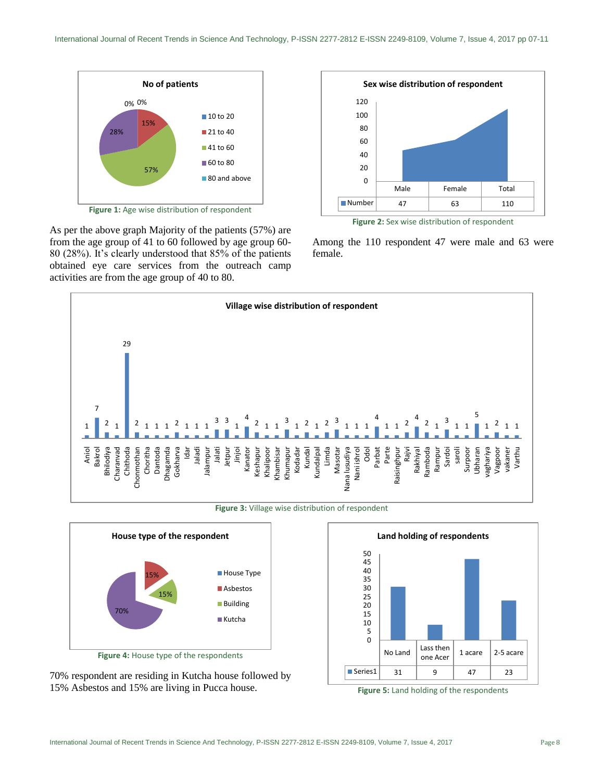

As per the above graph Majority of the patients (57%) are from the age group of 41 to 60 followed by age group 60- 80 (28%). It's clearly understood that 85% of the patients obtained eye care services from the outreach camp activities are from the age group of 40 to 80.



**Figure 2:** Sex wise distribution of respondent

Among the 110 respondent 47 were male and 63 were female.



**Figure 3:** Village wise distribution of respondent



70% respondent are residing in Kutcha house followed by 15% Asbestos and 15% are living in Pucca house. **Figure 5:** Land holding of the respondents

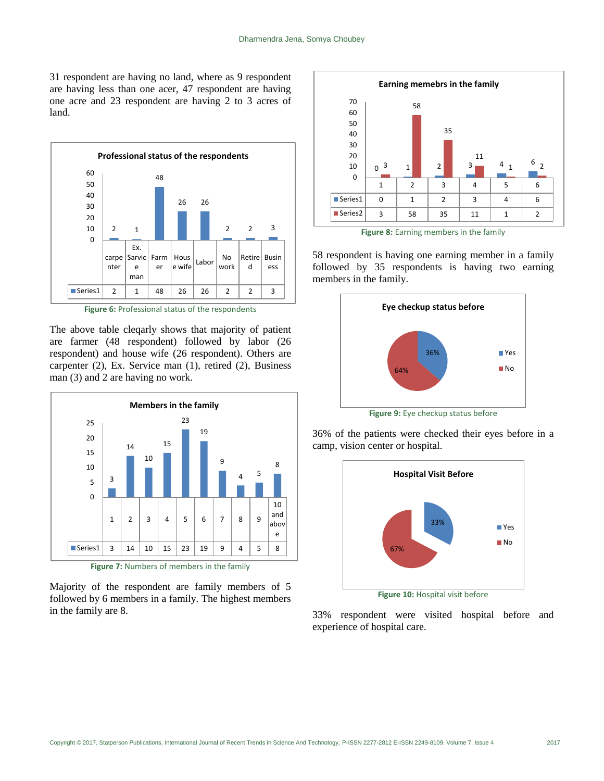31 respondent are having no land, where as 9 respondent are having less than one acer, 47 respondent are having one acre and 23 respondent are having 2 to 3 acres of land.



Figure 6: Professional status of the respondents

The above table cleqarly shows that majority of patient are farmer (48 respondent) followed by labor (26 respondent) and house wife (26 respondent). Others are carpenter (2), Ex. Service man (1), retired (2), Business man (3) and 2 are having no work.



**Figure 7:** Numbers of members in the family

Majority of the respondent are family members of 5 followed by 6 members in a family. The highest members in the family are 8.



Figure 8: Earning members in the family

58 respondent is having one earning member in a family followed by 35 respondents is having two earning members in the family.



36% of the patients were checked their eyes before in a camp, vision center or hospital.



**Figure 10:** Hospital visit before

33% respondent were visited hospital before and experience of hospital care.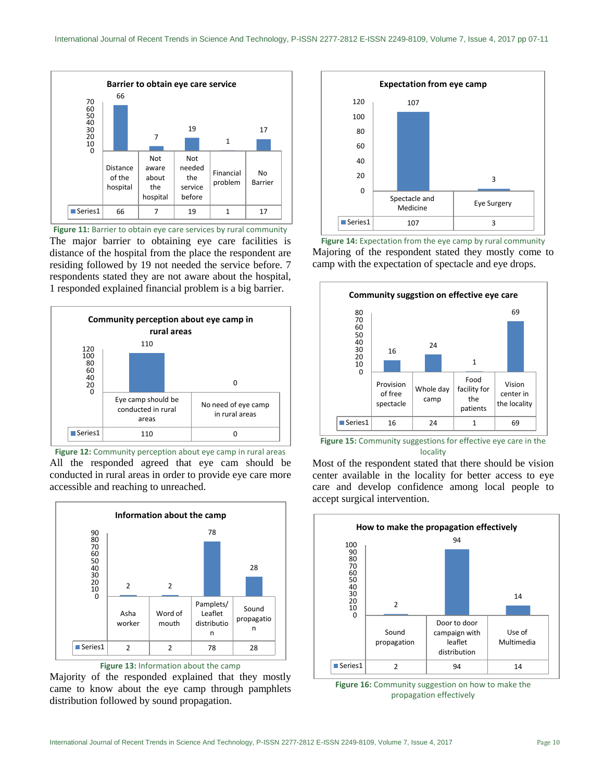

Figure 11: Barrier to obtain eye care services by rural community The major barrier to obtaining eye care facilities is distance of the hospital from the place the respondent are residing followed by 19 not needed the service before. 7 respondents stated they are not aware about the hospital, 1 responded explained financial problem is a big barrier.



Figure 12: Community perception about eye camp in rural areas All the responded agreed that eye cam should be conducted in rural areas in order to provide eye care more accessible and reaching to unreached.



**Figure 13:** Information about the camp

Majority of the responded explained that they mostly came to know about the eye camp through pamphlets distribution followed by sound propagation.



Figure 14: Expectation from the eye camp by rural community Majoring of the respondent stated they mostly come to camp with the expectation of spectacle and eye drops.



**Figure 15:** Community suggestions for effective eye care in the locality





Most of the respondent stated that there should be vision center available in the locality for better access to eye care and develop confidence among local people to accept surgical intervention.